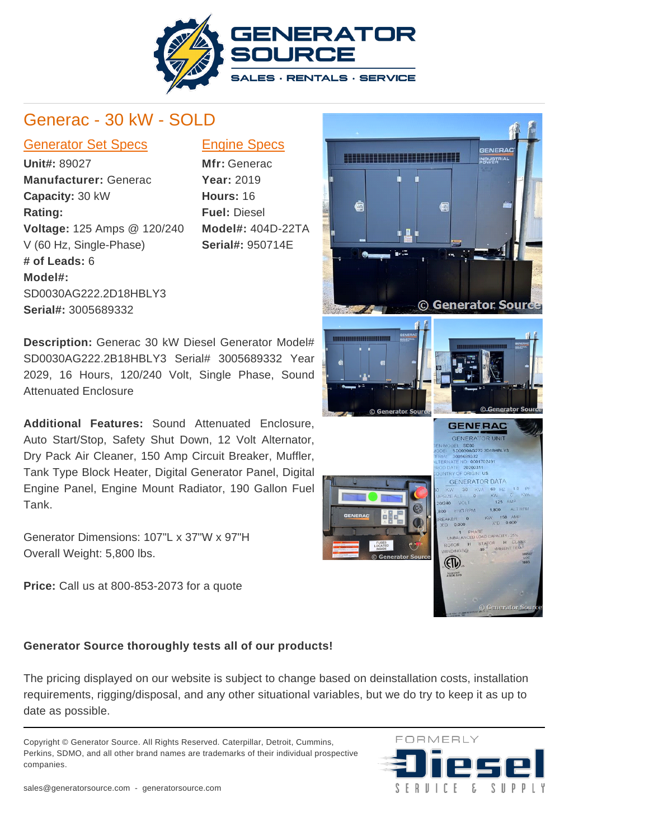

## Generac - 30 kW - SOLD

## Generator Set Specs Engine Specs

**Unit#:** 89027 **Manufacturer:** Generac **Capacity:** 30 kW **Rating: Voltage:** 125 Amps @ 120/240 V (60 Hz, Single-Phase) **# of Leads:** 6 **Model#:** SD0030AG222.2D18HBLY3 **Serial#:** 3005689332

**Mfr:** Generac **Year:** 2019 **Hours:** 16 **Fuel:** Diesel **Model#:** 404D-22TA **Serial#:** 950714E

**Description:** Generac 30 kW Diesel Generator Model# SD0030AG222.2B18HBLY3 Serial# 3005689332 Year 2029, 16 Hours, 120/240 Volt, Single Phase, Sound Attenuated Enclosure

**Additional Features:** Sound Attenuated Enclosure, Auto Start/Stop, Safety Shut Down, 12 Volt Alternator, Dry Pack Air Cleaner, 150 Amp Circuit Breaker, Muffler, Tank Type Block Heater, Digital Generator Panel, Digital Engine Panel, Engine Mount Radiator, 190 Gallon Fuel Tank.

Generator Dimensions: 107"L x 37"W x 97"H Overall Weight: 5,800 lbs.

**Price:** Call us at 800-853-2073 for a quote

## CENERAD 1111111111111111111111 NDUSTRI © Generator Sour © Generator Sou **GENERAC** GENERATOR UNIT DEL SD30<br>SD0030AG222.2D18HBLY3<br>30005693332<br>ATE NO 001702491 AL 3005689332<br>RNATE NO 00017<br>DIDATE 20200311<br>NTRY OF ORIGIN **GENERATOR DATA ALT RPM** ENG RPM



The pricing displayed on our website is subject to change based on deinstallation costs, installation requirements, rigging/disposal, and any other situational variables, but we do try to keep it as up to date as possible.

Copyright © Generator Source. All Rights Reserved. Caterpillar, Detroit, Cummins, Perkins, SDMO, and all other brand names are trademarks of their individual prospective companies.





(ETV)